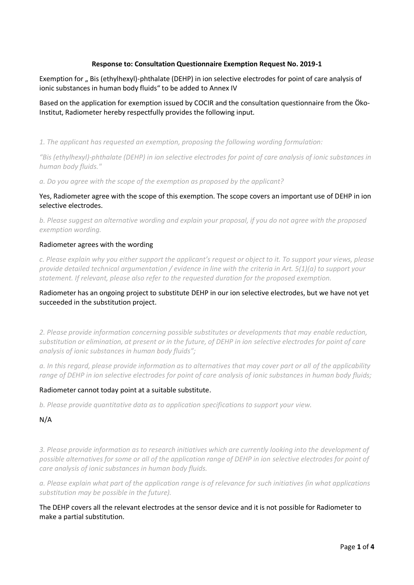### **Response to: Consultation Questionnaire Exemption Request No. 2019-1**

Exemption for "Bis (ethylhexyl)-phthalate (DEHP) in ion selective electrodes for point of care analysis of ionic substances in human body fluids" to be added to Annex IV

Based on the application for exemption issued by COCIR and the consultation questionnaire from the Öko-Institut, Radiometer hereby respectfully provides the following input.

*1. The applicant has requested an exemption, proposing the following wording formulation:*

*"Bis (ethylhexyl)-phthalate (DEHP) in ion selective electrodes for point of care analysis of ionic substances in human body fluids."*

*a. Do you agree with the scope of the exemption as proposed by the applicant?*

Yes, Radiometer agree with the scope of this exemption. The scope covers an important use of DEHP in ion selective electrodes.

*b. Please suggest an alternative wording and explain your proposal, if you do not agree with the proposed exemption wording.*

#### Radiometer agrees with the wording

*c. Please explain why you either support the applicant's request or object to it. To support your views, please provide detailed technical argumentation / evidence in line with the criteria in Art. 5(1)(a) to support your statement. If relevant, please also refer to the requested duration for the proposed exemption.*

# Radiometer has an ongoing project to substitute DEHP in our ion selective electrodes, but we have not yet succeeded in the substitution project.

*2. Please provide information concerning possible substitutes or developments that may enable reduction, substitution or elimination, at present or in the future, of DEHP in ion selective electrodes for point of care analysis of ionic substances in human body fluids";*

*a. In this regard, please provide information as to alternatives that may cover part or all of the applicability range of DEHP in ion selective electrodes for point of care analysis of ionic substances in human body fluids;*

#### Radiometer cannot today point at a suitable substitute.

*b. Please provide quantitative data as to application specifications to support your view.*

### N/A

*3. Please provide information as to research initiatives which are currently looking into the development of possible alternatives for some or all of the application range of DEHP in ion selective electrodes for point of care analysis of ionic substances in human body fluids.*

*a. Please explain what part of the application range is of relevance for such initiatives (in what applications substitution may be possible in the future).*

The DEHP covers all the relevant electrodes at the sensor device and it is not possible for Radiometer to make a partial substitution.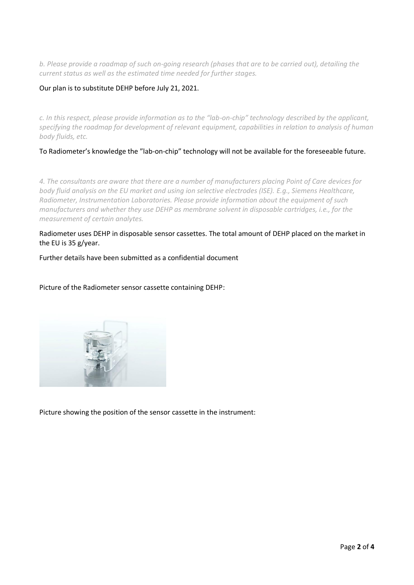*b. Please provide a roadmap of such on-going research (phases that are to be carried out), detailing the current status as well as the estimated time needed for further stages.*

### Our plan is to substitute DEHP before July 21, 2021.

*c. In this respect, please provide information as to the "lab-on-chip" technology described by the applicant, specifying the roadmap for development of relevant equipment, capabilities in relation to analysis of human body fluids, etc.*

To Radiometer's knowledge the "lab-on-chip" technology will not be available for the foreseeable future.

*4. The consultants are aware that there are a number of manufacturers placing Point of Care devices for body fluid analysis on the EU market and using ion selective electrodes (ISE). E.g., Siemens Healthcare, Radiometer, Instrumentation Laboratories. Please provide information about the equipment of such manufacturers and whether they use DEHP as membrane solvent in disposable cartridges, i.e., for the measurement of certain analytes.*

Radiometer uses DEHP in disposable sensor cassettes. The total amount of DEHP placed on the market in the EU is 35 g/year.

Further details have been submitted as a confidential document

Picture of the Radiometer sensor cassette containing DEHP:



Picture showing the position of the sensor cassette in the instrument: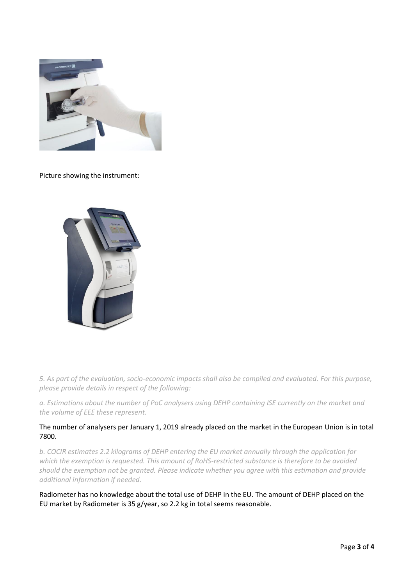

Picture showing the instrument:



*5. As part of the evaluation, socio-economic impacts shall also be compiled and evaluated. For this purpose, please provide details in respect of the following:*

*a. Estimations about the number of PoC analysers using DEHP containing ISE currently on the market and the volume of EEE these represent.*

## The number of analysers per January 1, 2019 already placed on the market in the European Union is in total 7800.

*b. COCIR estimates 2.2 kilograms of DEHP entering the EU market annually through the application for which the exemption is requested. This amount of RoHS-restricted substance is therefore to be avoided should the exemption not be granted. Please indicate whether you agree with this estimation and provide additional information if needed.*

Radiometer has no knowledge about the total use of DEHP in the EU. The amount of DEHP placed on the EU market by Radiometer is 35 g/year, so 2.2 kg in total seems reasonable.